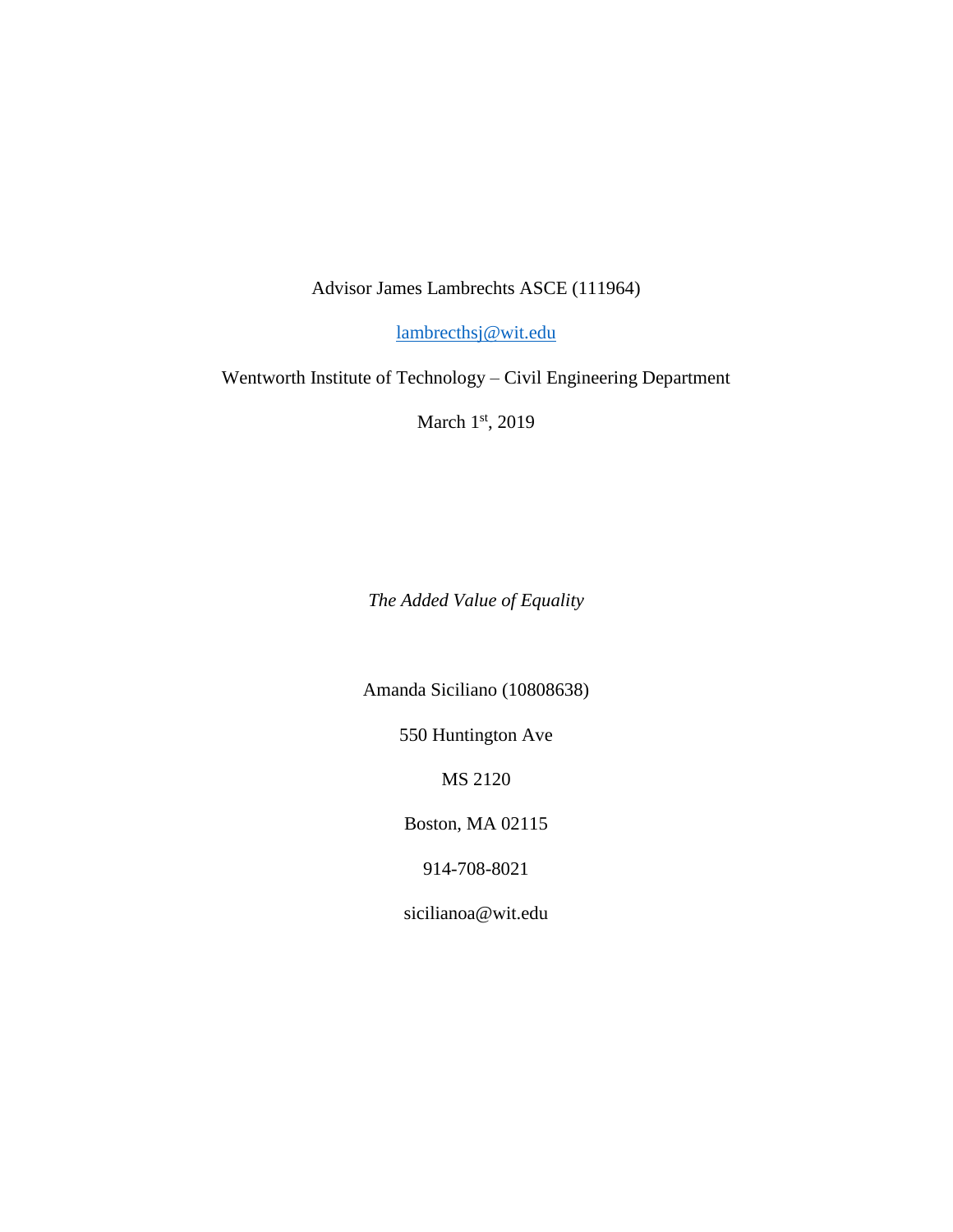Advisor James Lambrechts ASCE (111964)

[lambrecthsj@wit.edu](mailto:lambrecthsj@wit.edu)

Wentworth Institute of Technology – Civil Engineering Department

March 1st, 2019

*The Added Value of Equality*

Amanda Siciliano (10808638)

550 Huntington Ave

MS 2120

Boston, MA 02115

914-708-8021

sicilianoa@wit.edu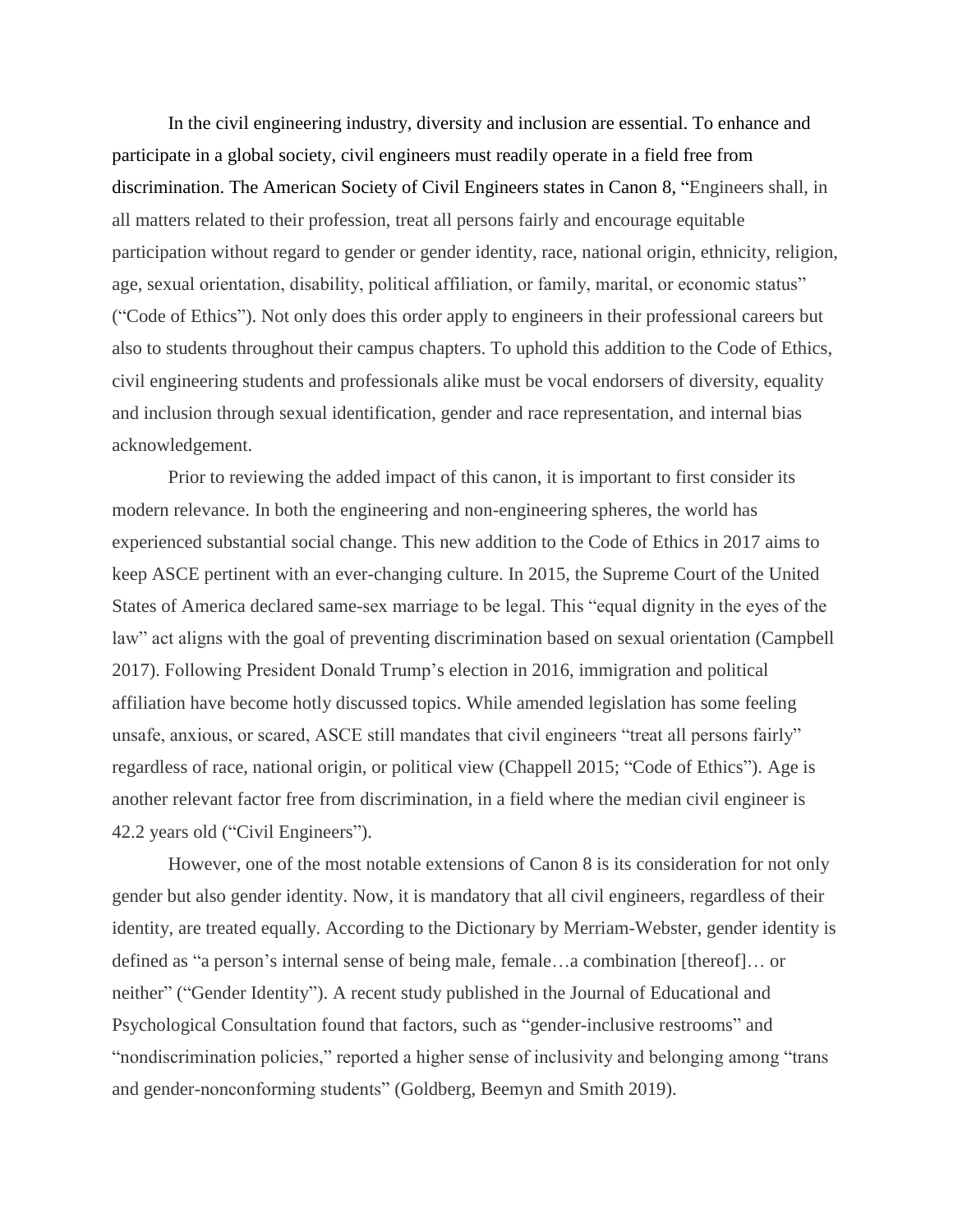In the civil engineering industry, diversity and inclusion are essential. To enhance and participate in a global society, civil engineers must readily operate in a field free from discrimination. The American Society of Civil Engineers states in Canon 8, "Engineers shall, in all matters related to their profession, treat all persons fairly and encourage equitable participation without regard to gender or gender identity, race, national origin, ethnicity, religion, age, sexual orientation, disability, political affiliation, or family, marital, or economic status" ("Code of Ethics"). Not only does this order apply to engineers in their professional careers but also to students throughout their campus chapters. To uphold this addition to the Code of Ethics, civil engineering students and professionals alike must be vocal endorsers of diversity, equality and inclusion through sexual identification, gender and race representation, and internal bias acknowledgement.

Prior to reviewing the added impact of this canon, it is important to first consider its modern relevance. In both the engineering and non-engineering spheres, the world has experienced substantial social change. This new addition to the Code of Ethics in 2017 aims to keep ASCE pertinent with an ever-changing culture. In 2015, the Supreme Court of the United States of America declared same-sex marriage to be legal. This "equal dignity in the eyes of the law" act aligns with the goal of preventing discrimination based on sexual orientation (Campbell 2017). Following President Donald Trump's election in 2016, immigration and political affiliation have become hotly discussed topics. While amended legislation has some feeling unsafe, anxious, or scared, ASCE still mandates that civil engineers "treat all persons fairly" regardless of race, national origin, or political view (Chappell 2015; "Code of Ethics"). Age is another relevant factor free from discrimination, in a field where the median civil engineer is 42.2 years old ("Civil Engineers").

However, one of the most notable extensions of Canon 8 is its consideration for not only gender but also gender identity. Now, it is mandatory that all civil engineers, regardless of their identity, are treated equally. According to the Dictionary by Merriam-Webster, gender identity is defined as "a person's internal sense of being male, female…a combination [thereof]… or neither" ("Gender Identity"). A recent study published in the Journal of Educational and Psychological Consultation found that factors, such as "gender-inclusive restrooms" and "nondiscrimination policies," reported a higher sense of inclusivity and belonging among "trans and gender-nonconforming students" (Goldberg, Beemyn and Smith 2019).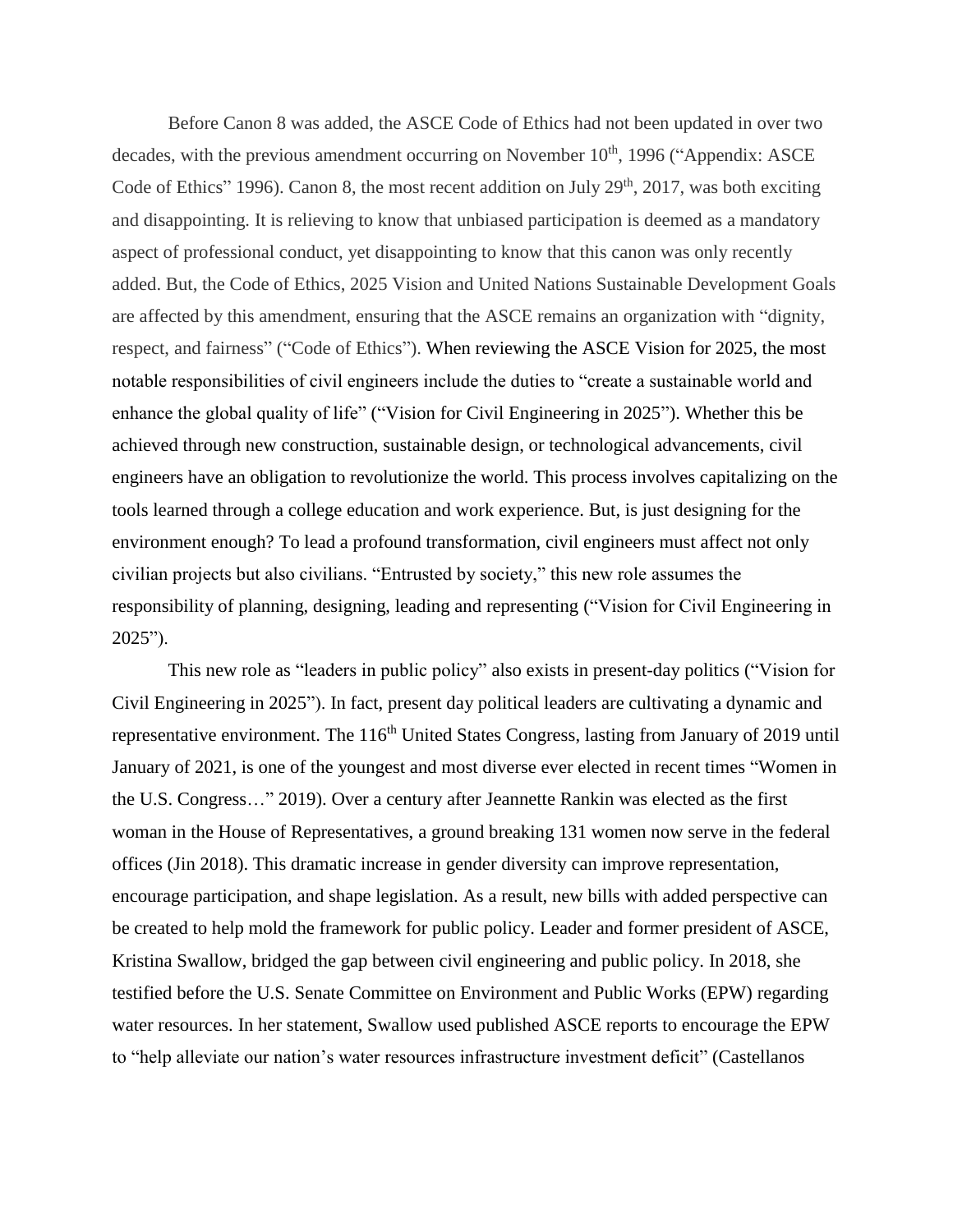Before Canon 8 was added, the ASCE Code of Ethics had not been updated in over two decades, with the previous amendment occurring on November  $10<sup>th</sup>$ , 1996 ("Appendix: ASCE Code of Ethics" 1996). Canon 8, the most recent addition on July  $29<sup>th</sup>$ , 2017, was both exciting and disappointing. It is relieving to know that unbiased participation is deemed as a mandatory aspect of professional conduct, yet disappointing to know that this canon was only recently added. But, the Code of Ethics, 2025 Vision and United Nations Sustainable Development Goals are affected by this amendment, ensuring that the ASCE remains an organization with "dignity, respect, and fairness" ("Code of Ethics"). When reviewing the ASCE Vision for 2025, the most notable responsibilities of civil engineers include the duties to "create a sustainable world and enhance the global quality of life" ("Vision for Civil Engineering in 2025"). Whether this be achieved through new construction, sustainable design, or technological advancements, civil engineers have an obligation to revolutionize the world. This process involves capitalizing on the tools learned through a college education and work experience. But, is just designing for the environment enough? To lead a profound transformation, civil engineers must affect not only civilian projects but also civilians. "Entrusted by society," this new role assumes the responsibility of planning, designing, leading and representing ("Vision for Civil Engineering in 2025").

This new role as "leaders in public policy" also exists in present-day politics ("Vision for Civil Engineering in 2025"). In fact, present day political leaders are cultivating a dynamic and representative environment. The 116<sup>th</sup> United States Congress, lasting from January of 2019 until January of 2021, is one of the youngest and most diverse ever elected in recent times "Women in the U.S. Congress…" 2019). Over a century after Jeannette Rankin was elected as the first woman in the House of Representatives, a ground breaking 131 women now serve in the federal offices (Jin 2018). This dramatic increase in gender diversity can improve representation, encourage participation, and shape legislation. As a result, new bills with added perspective can be created to help mold the framework for public policy. Leader and former president of ASCE, Kristina Swallow, bridged the gap between civil engineering and public policy. In 2018, she testified before the U.S. Senate Committee on Environment and Public Works (EPW) regarding water resources. In her statement, Swallow used published ASCE reports to encourage the EPW to "help alleviate our nation's water resources infrastructure investment deficit" (Castellanos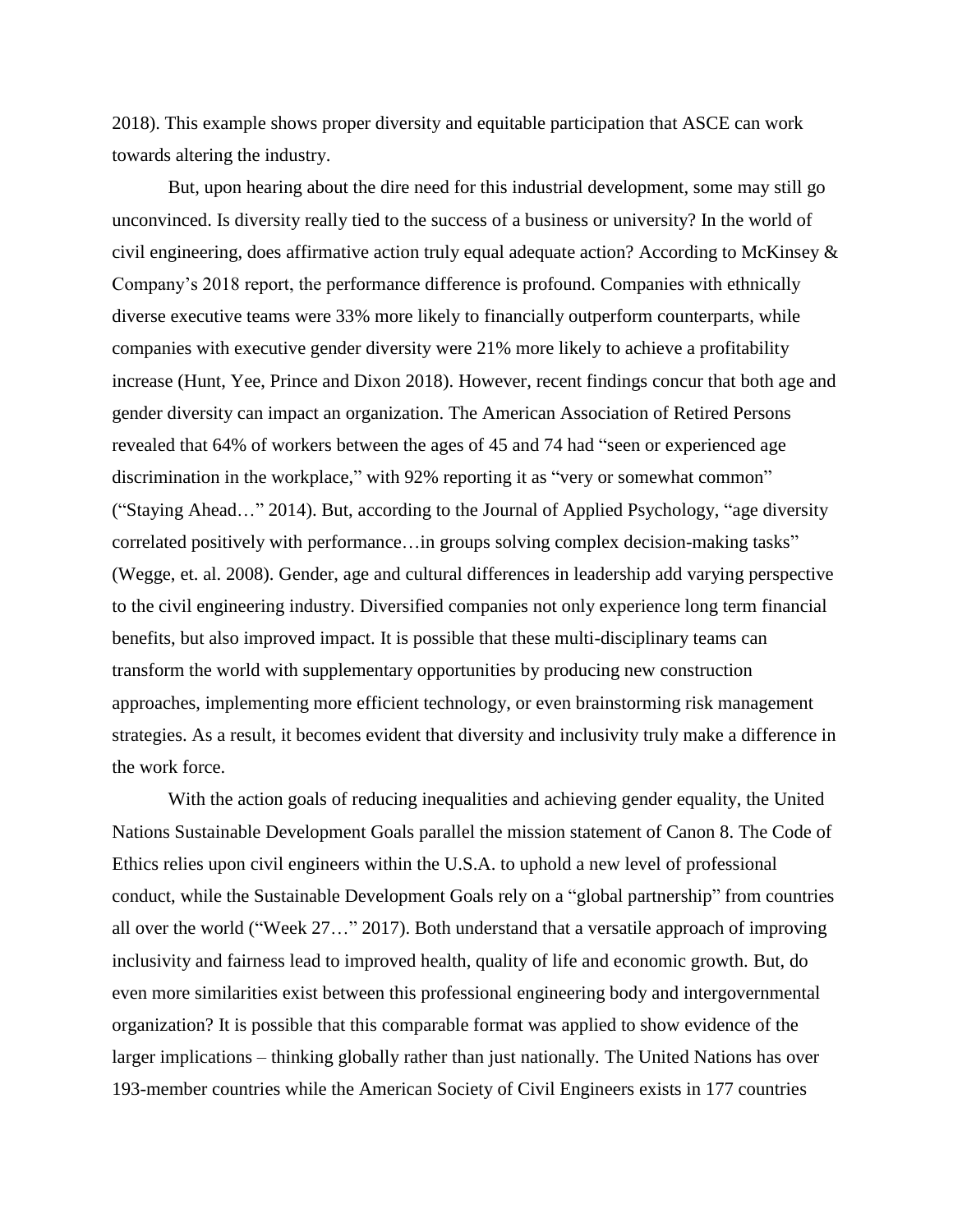2018). This example shows proper diversity and equitable participation that ASCE can work towards altering the industry.

But, upon hearing about the dire need for this industrial development, some may still go unconvinced. Is diversity really tied to the success of a business or university? In the world of civil engineering, does affirmative action truly equal adequate action? According to McKinsey & Company's 2018 report, the performance difference is profound. Companies with ethnically diverse executive teams were 33% more likely to financially outperform counterparts, while companies with executive gender diversity were 21% more likely to achieve a profitability increase (Hunt, Yee, Prince and Dixon 2018). However, recent findings concur that both age and gender diversity can impact an organization. The American Association of Retired Persons revealed that 64% of workers between the ages of 45 and 74 had "seen or experienced age discrimination in the workplace," with 92% reporting it as "very or somewhat common" ("Staying Ahead…" 2014). But, according to the Journal of Applied Psychology, "age diversity correlated positively with performance…in groups solving complex decision-making tasks" (Wegge, et. al. 2008). Gender, age and cultural differences in leadership add varying perspective to the civil engineering industry. Diversified companies not only experience long term financial benefits, but also improved impact. It is possible that these multi-disciplinary teams can transform the world with supplementary opportunities by producing new construction approaches, implementing more efficient technology, or even brainstorming risk management strategies. As a result, it becomes evident that diversity and inclusivity truly make a difference in the work force.

With the action goals of reducing inequalities and achieving gender equality, the United Nations Sustainable Development Goals parallel the mission statement of Canon 8. The Code of Ethics relies upon civil engineers within the U.S.A. to uphold a new level of professional conduct, while the Sustainable Development Goals rely on a "global partnership" from countries all over the world ("Week 27…" 2017). Both understand that a versatile approach of improving inclusivity and fairness lead to improved health, quality of life and economic growth. But, do even more similarities exist between this professional engineering body and intergovernmental organization? It is possible that this comparable format was applied to show evidence of the larger implications – thinking globally rather than just nationally. The United Nations has over 193-member countries while the American Society of Civil Engineers exists in 177 countries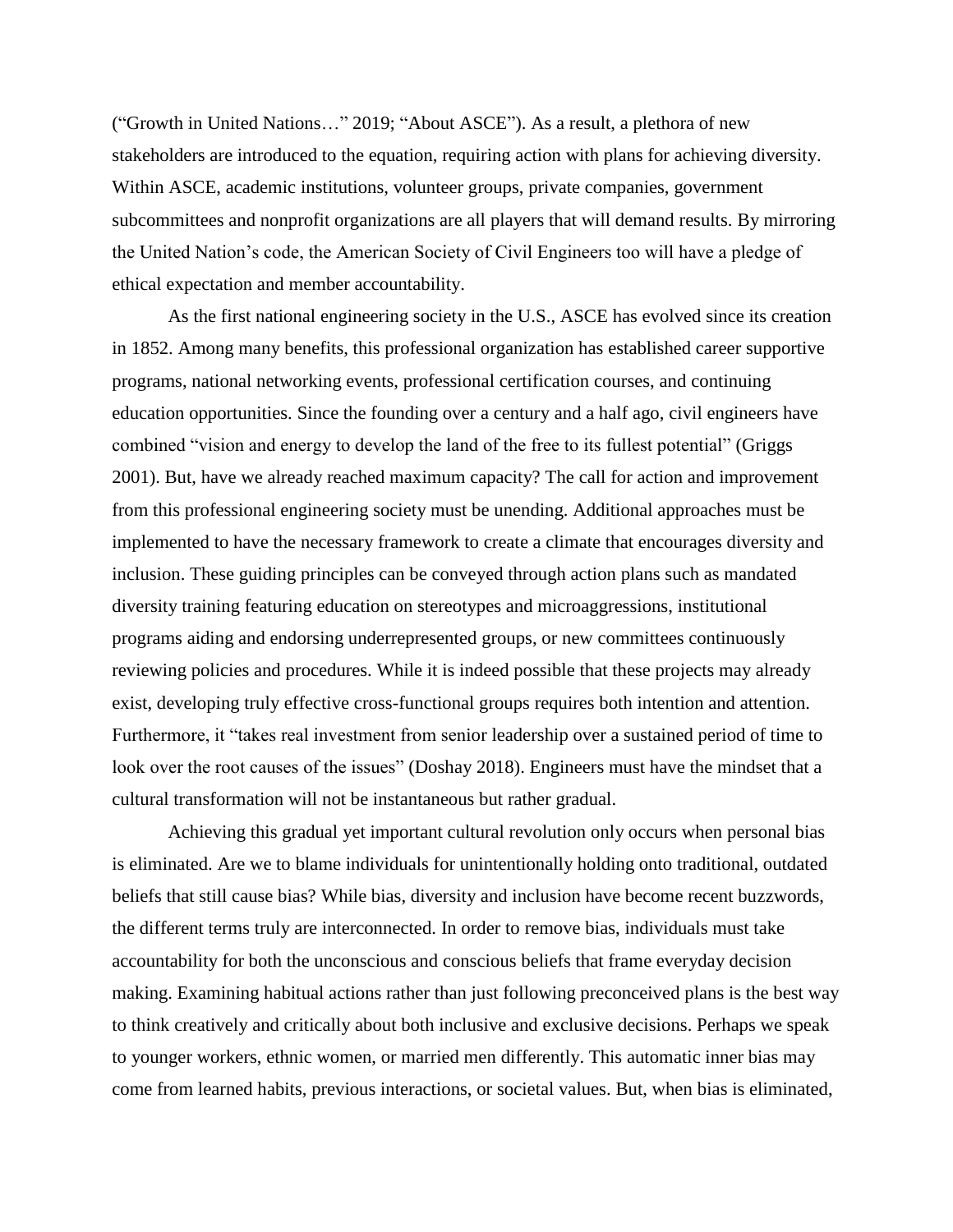("Growth in United Nations…" 2019; "About ASCE"). As a result, a plethora of new stakeholders are introduced to the equation, requiring action with plans for achieving diversity. Within ASCE, academic institutions, volunteer groups, private companies, government subcommittees and nonprofit organizations are all players that will demand results. By mirroring the United Nation's code, the American Society of Civil Engineers too will have a pledge of ethical expectation and member accountability.

As the first national engineering society in the U.S., ASCE has evolved since its creation in 1852. Among many benefits, this professional organization has established career supportive programs, national networking events, professional certification courses, and continuing education opportunities. Since the founding over a century and a half ago, civil engineers have combined "vision and energy to develop the land of the free to its fullest potential" (Griggs 2001). But, have we already reached maximum capacity? The call for action and improvement from this professional engineering society must be unending. Additional approaches must be implemented to have the necessary framework to create a climate that encourages diversity and inclusion. These guiding principles can be conveyed through action plans such as mandated diversity training featuring education on stereotypes and microaggressions, institutional programs aiding and endorsing underrepresented groups, or new committees continuously reviewing policies and procedures. While it is indeed possible that these projects may already exist, developing truly effective cross-functional groups requires both intention and attention. Furthermore, it "takes real investment from senior leadership over a sustained period of time to look over the root causes of the issues" (Doshay 2018). Engineers must have the mindset that a cultural transformation will not be instantaneous but rather gradual.

Achieving this gradual yet important cultural revolution only occurs when personal bias is eliminated. Are we to blame individuals for unintentionally holding onto traditional, outdated beliefs that still cause bias? While bias, diversity and inclusion have become recent buzzwords, the different terms truly are interconnected. In order to remove bias, individuals must take accountability for both the unconscious and conscious beliefs that frame everyday decision making. Examining habitual actions rather than just following preconceived plans is the best way to think creatively and critically about both inclusive and exclusive decisions. Perhaps we speak to younger workers, ethnic women, or married men differently. This automatic inner bias may come from learned habits, previous interactions, or societal values. But, when bias is eliminated,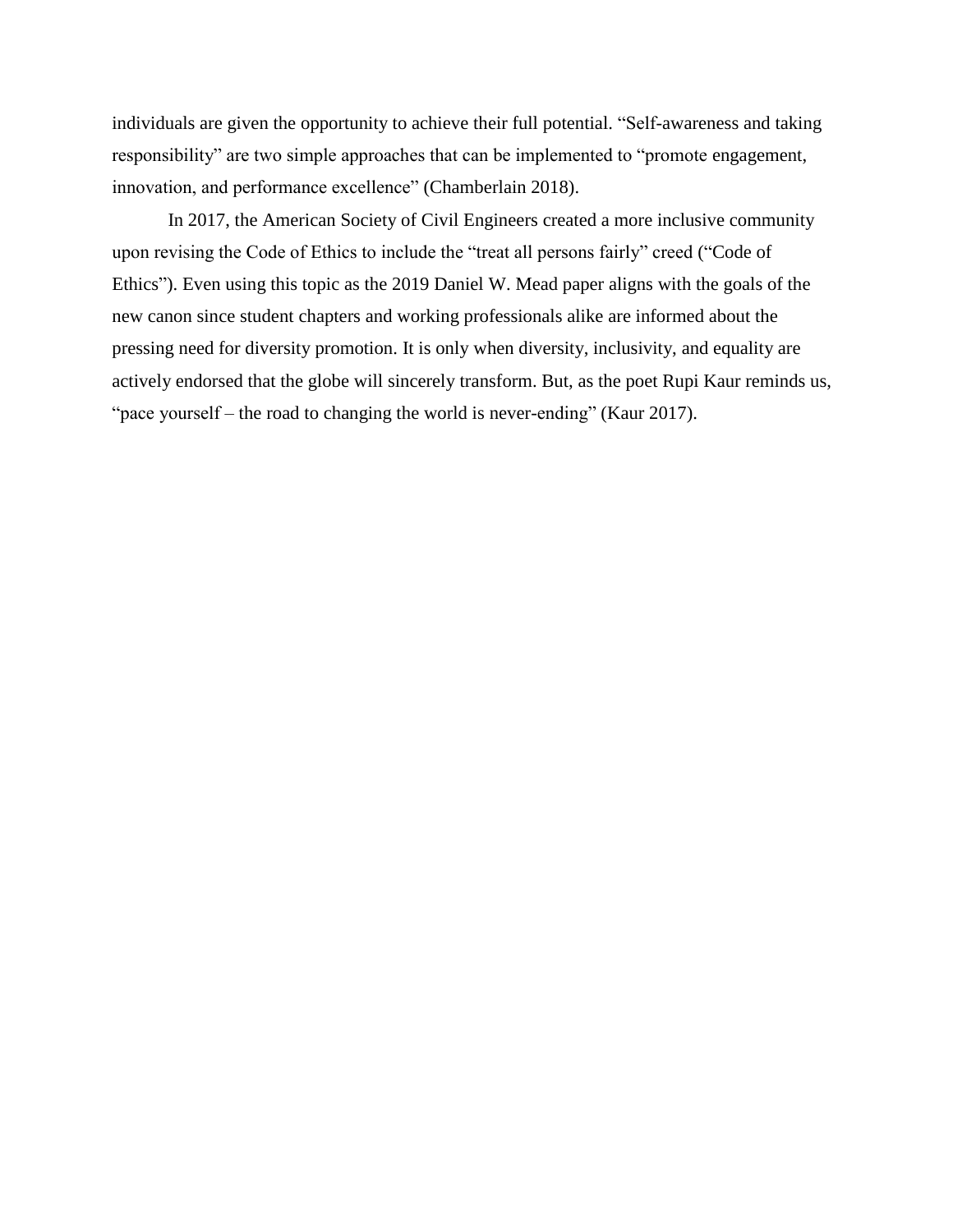individuals are given the opportunity to achieve their full potential. "Self-awareness and taking responsibility" are two simple approaches that can be implemented to "promote engagement, innovation, and performance excellence" (Chamberlain 2018).

In 2017, the American Society of Civil Engineers created a more inclusive community upon revising the Code of Ethics to include the "treat all persons fairly" creed ("Code of Ethics"). Even using this topic as the 2019 Daniel W. Mead paper aligns with the goals of the new canon since student chapters and working professionals alike are informed about the pressing need for diversity promotion. It is only when diversity, inclusivity, and equality are actively endorsed that the globe will sincerely transform. But, as the poet Rupi Kaur reminds us, "pace yourself – the road to changing the world is never-ending" (Kaur 2017).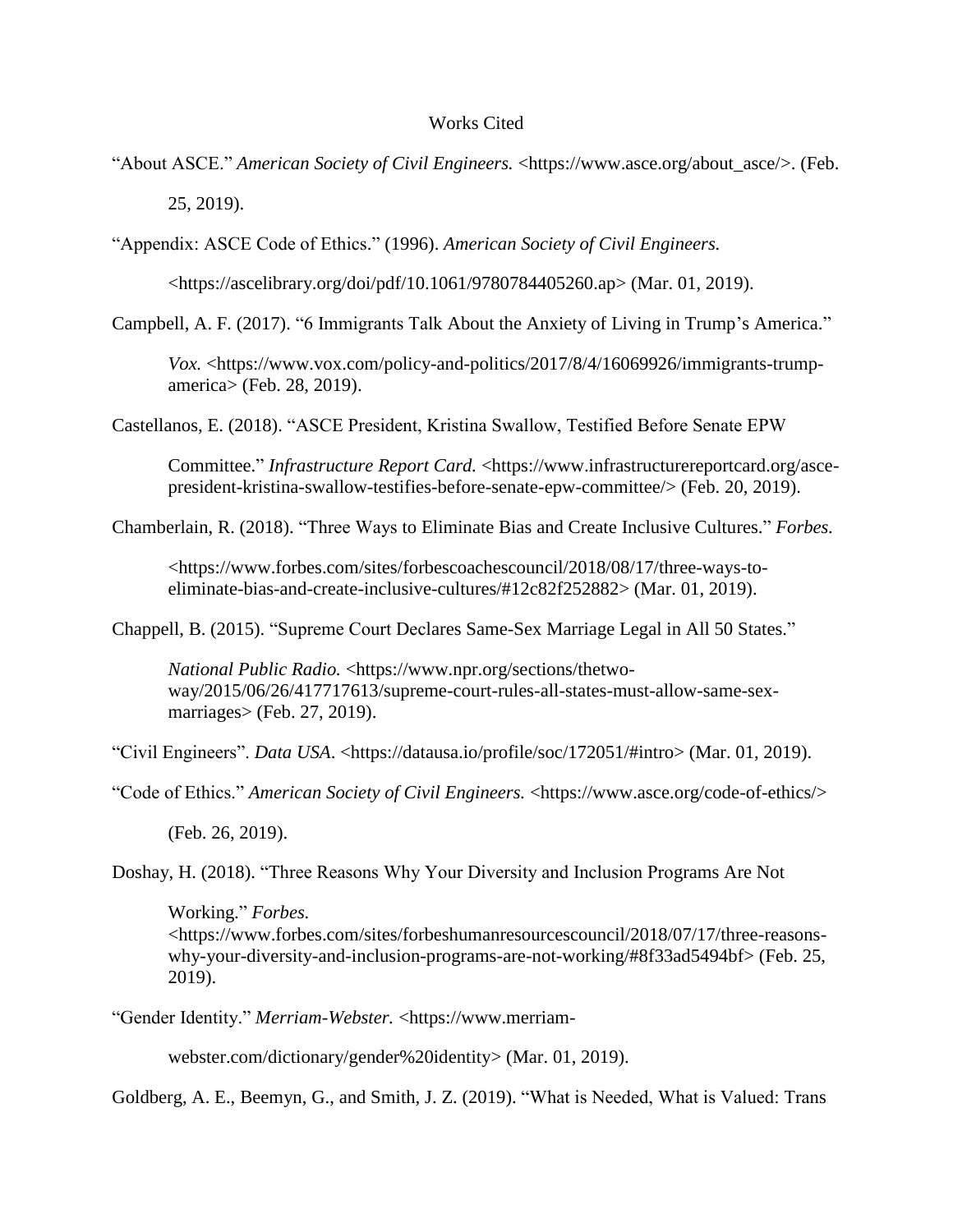## Works Cited

"About ASCE." *American Society of Civil Engineers.* [<https://www.asce.org/about\\_asce/>](https://www.asce.org/about_asce/). (Feb.

25, 2019).

"Appendix: ASCE Code of Ethics." (1996). *American Society of Civil Engineers.*

[<https://ascelibrary.org/doi/pdf/10.1061/9780784405260.ap>](https://ascelibrary.org/doi/pdf/10.1061/9780784405260.ap) (Mar. 01, 2019).

Campbell, A. F. (2017). "6 Immigrants Talk About the Anxiety of Living in Trump's America."

*Vox.* [<https://www.vox.com/policy-and-politics/2017/8/4/16069926/immigrants-trump](https://www.vox.com/policy-and-politics/2017/8/4/16069926/immigrants-trump-america)[america>](https://www.vox.com/policy-and-politics/2017/8/4/16069926/immigrants-trump-america) (Feb. 28, 2019).

Castellanos, E. (2018). "ASCE President, Kristina Swallow, Testified Before Senate EPW

Committee." *Infrastructure Report Card.* [<https://www.infrastructurereportcard.org/asce](https://www.infrastructurereportcard.org/asce-president-kristina-swallow-testifies-before-senate-epw-committee/)[president-kristina-swallow-testifies-before-senate-epw-committee/>](https://www.infrastructurereportcard.org/asce-president-kristina-swallow-testifies-before-senate-epw-committee/) (Feb. 20, 2019).

Chamberlain, R. (2018). "Three Ways to Eliminate Bias and Create Inclusive Cultures." *Forbes.*

[<https://www.forbes.com/sites/forbescoachescouncil/2018/08/17/three-ways-to](https://www.forbes.com/sites/forbescoachescouncil/2018/08/17/three-ways-to-eliminate-bias-and-create-inclusive-cultures/#12c82f252882)[eliminate-bias-and-create-inclusive-cultures/#12c82f252882>](https://www.forbes.com/sites/forbescoachescouncil/2018/08/17/three-ways-to-eliminate-bias-and-create-inclusive-cultures/#12c82f252882) (Mar. 01, 2019).

Chappell, B. (2015). "Supreme Court Declares Same-Sex Marriage Legal in All 50 States."

*National Public Radio.* [<https://www.npr.org/sections/thetwo](https://www.npr.org/sections/thetwo-way/2015/06/26/417717613/supreme-court-rules-all-states-must-allow-same-sex-marriages)[way/2015/06/26/417717613/supreme-court-rules-all-states-must-allow-same-sex](https://www.npr.org/sections/thetwo-way/2015/06/26/417717613/supreme-court-rules-all-states-must-allow-same-sex-marriages)[marriages>](https://www.npr.org/sections/thetwo-way/2015/06/26/417717613/supreme-court-rules-all-states-must-allow-same-sex-marriages) (Feb. 27, 2019).

"Civil Engineers". *Data USA*. [<https://datausa.io/profile/soc/172051/#intro>](https://datausa.io/profile/soc/172051/#intro) (Mar. 01, 2019).

"Code of Ethics." *American Society of Civil Engineers.* [<https://www.asce.org/code-of-ethics/>](https://www.asce.org/code-of-ethics/)

(Feb. 26, 2019).

Doshay, H. (2018). "Three Reasons Why Your Diversity and Inclusion Programs Are Not

Working." *Forbes.* [<https://www.forbes.com/sites/forbeshumanresourcescouncil/2018/07/17/three-reasons](https://www.forbes.com/sites/forbeshumanresourcescouncil/2018/07/17/three-reasons-why-your-diversity-and-inclusion-programs-are-not-working/#8f33ad5494bf)[why-your-diversity-and-inclusion-programs-are-not-working/#8f33ad5494bf>](https://www.forbes.com/sites/forbeshumanresourcescouncil/2018/07/17/three-reasons-why-your-diversity-and-inclusion-programs-are-not-working/#8f33ad5494bf) (Feb. 25, 2019).

"Gender Identity." *Merriam-Webster.* <https://www.merriam-

webster.com/dictionary/gender%20identity> (Mar. 01, 2019).

Goldberg, A. E., Beemyn, G., and Smith, J. Z. (2019). "What is Needed, What is Valued: Trans